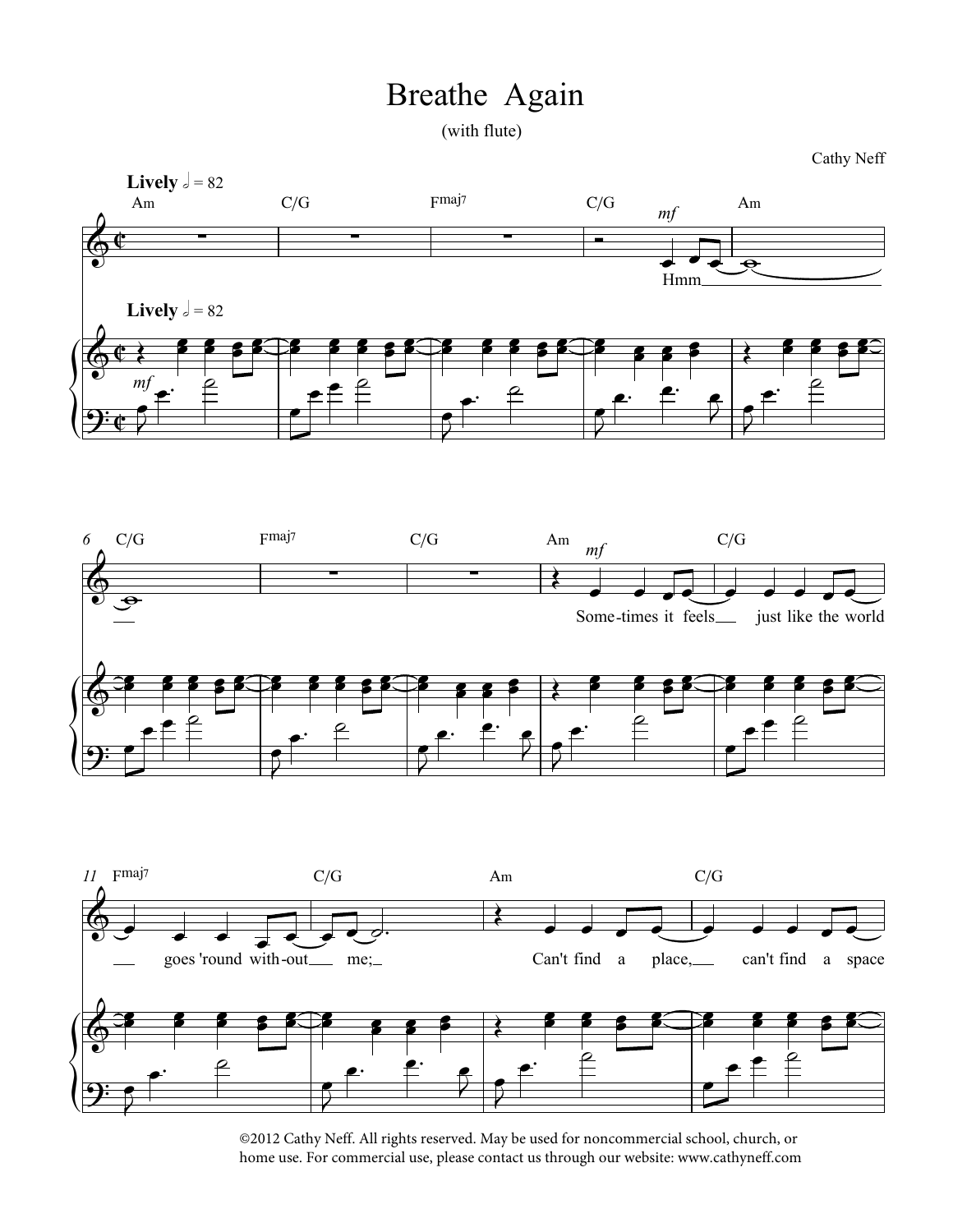## athe Again Breathe Again

Cathy Neff



©2012 Cathy Neff. All rights reserved. May be used for noncommercial school, church, or home use. For commercial use, please contact us through our website: www.cathyneff.com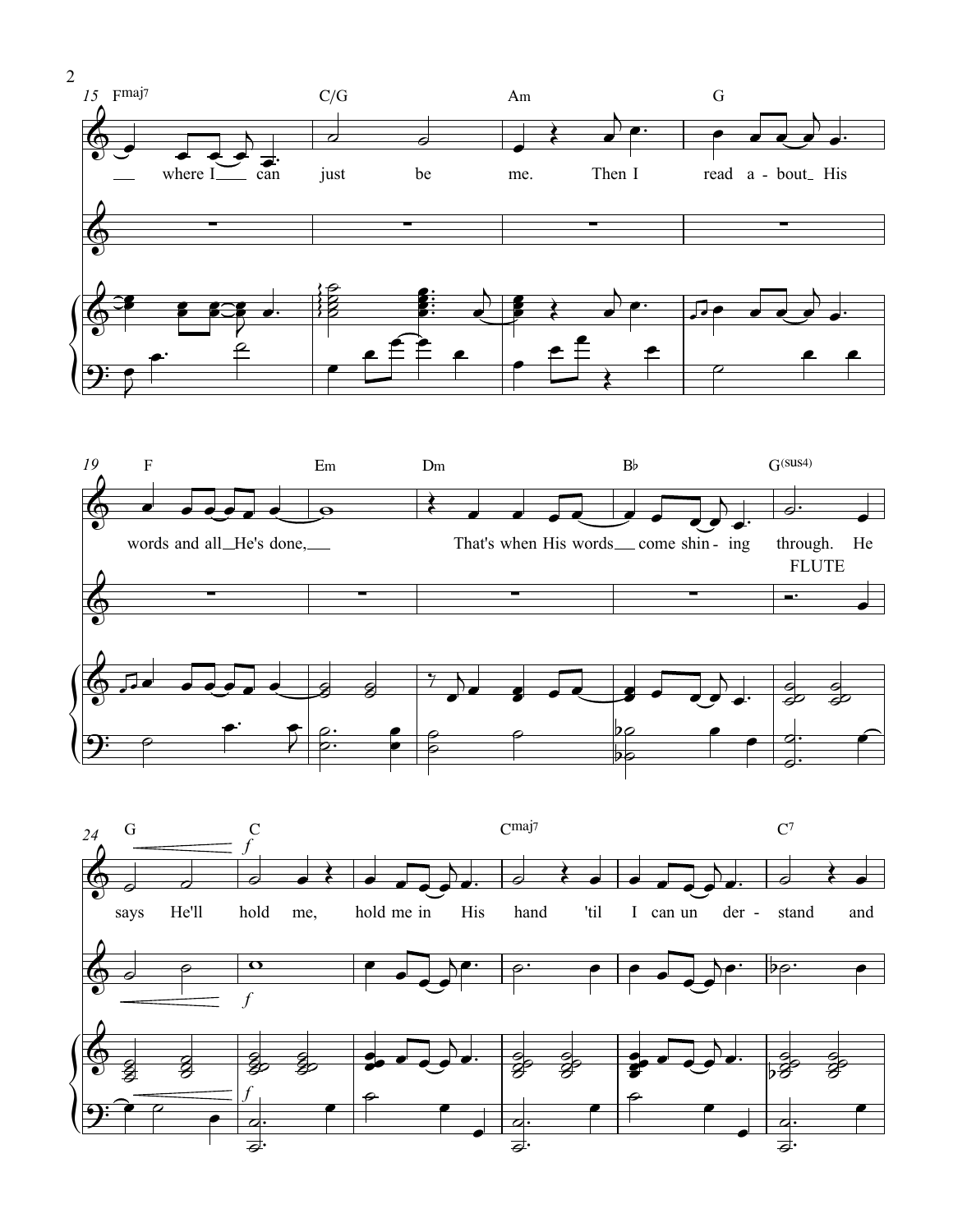



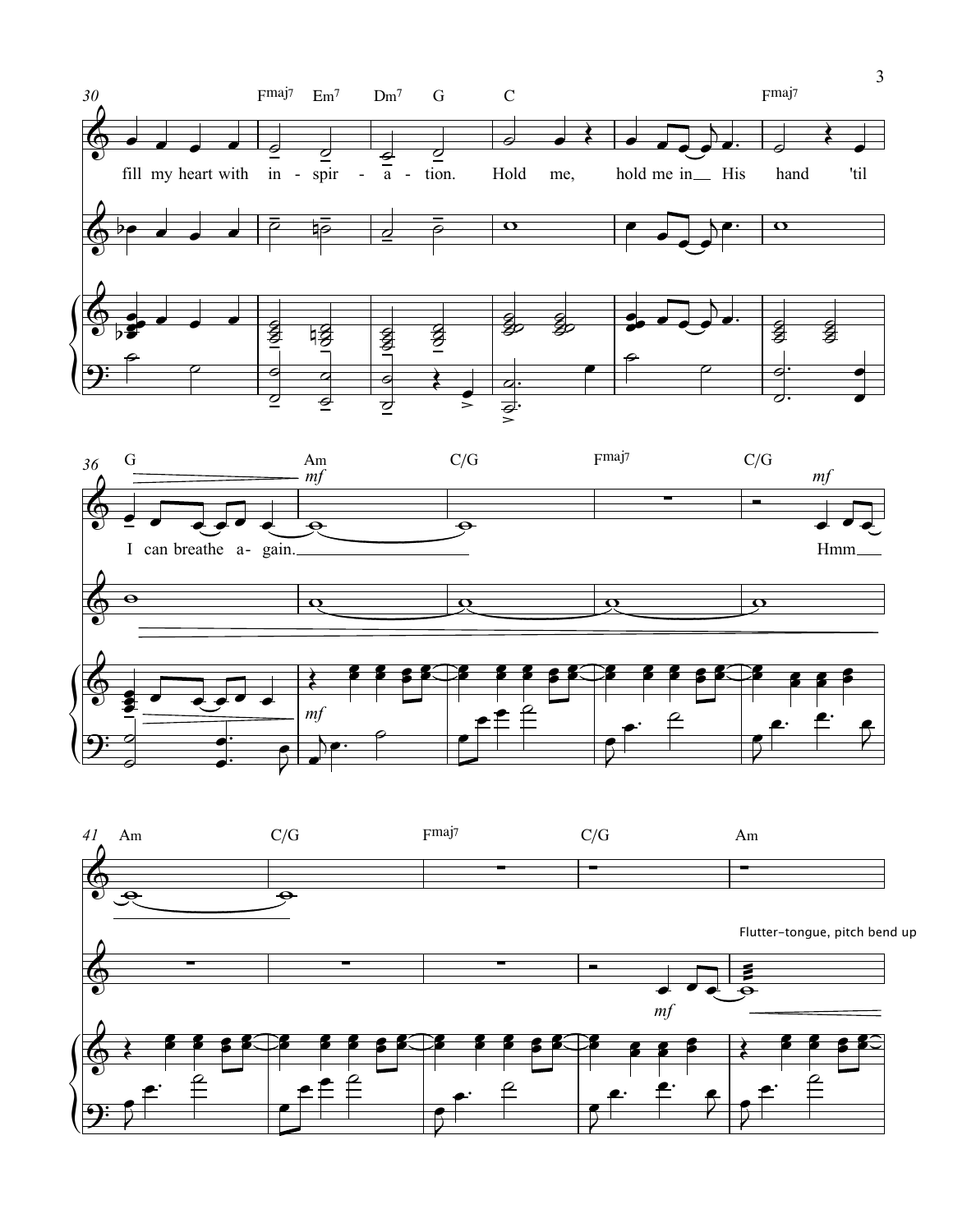



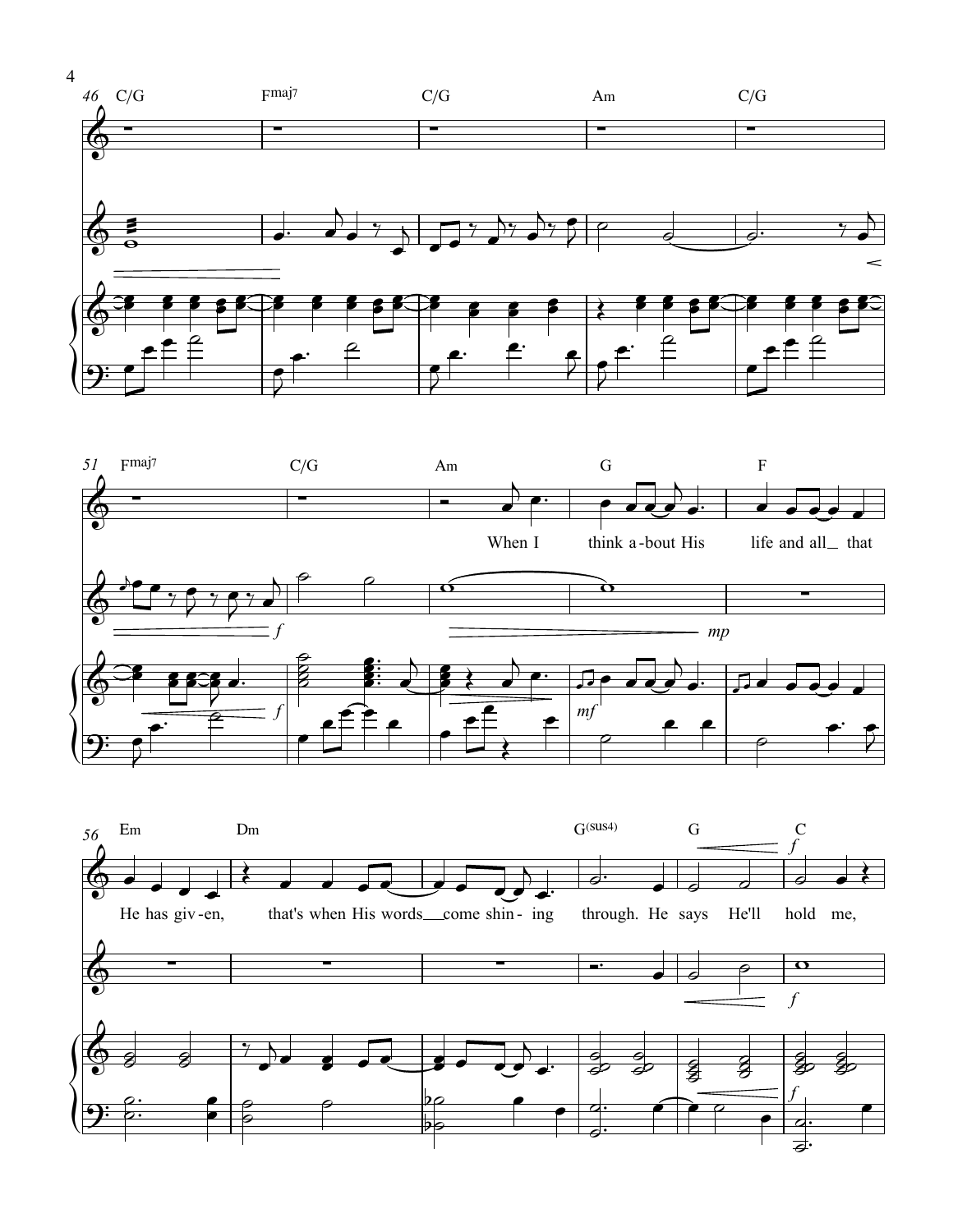





4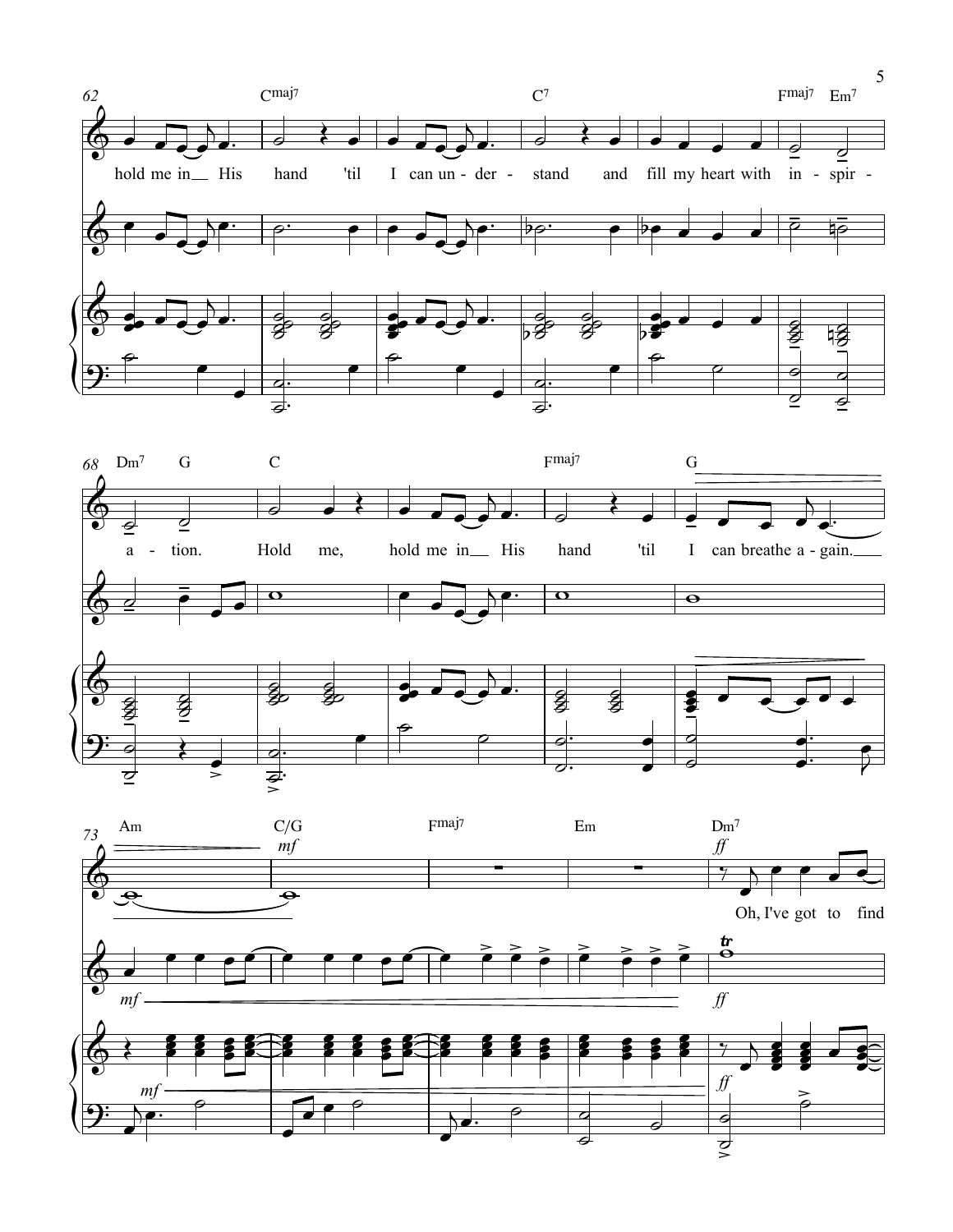



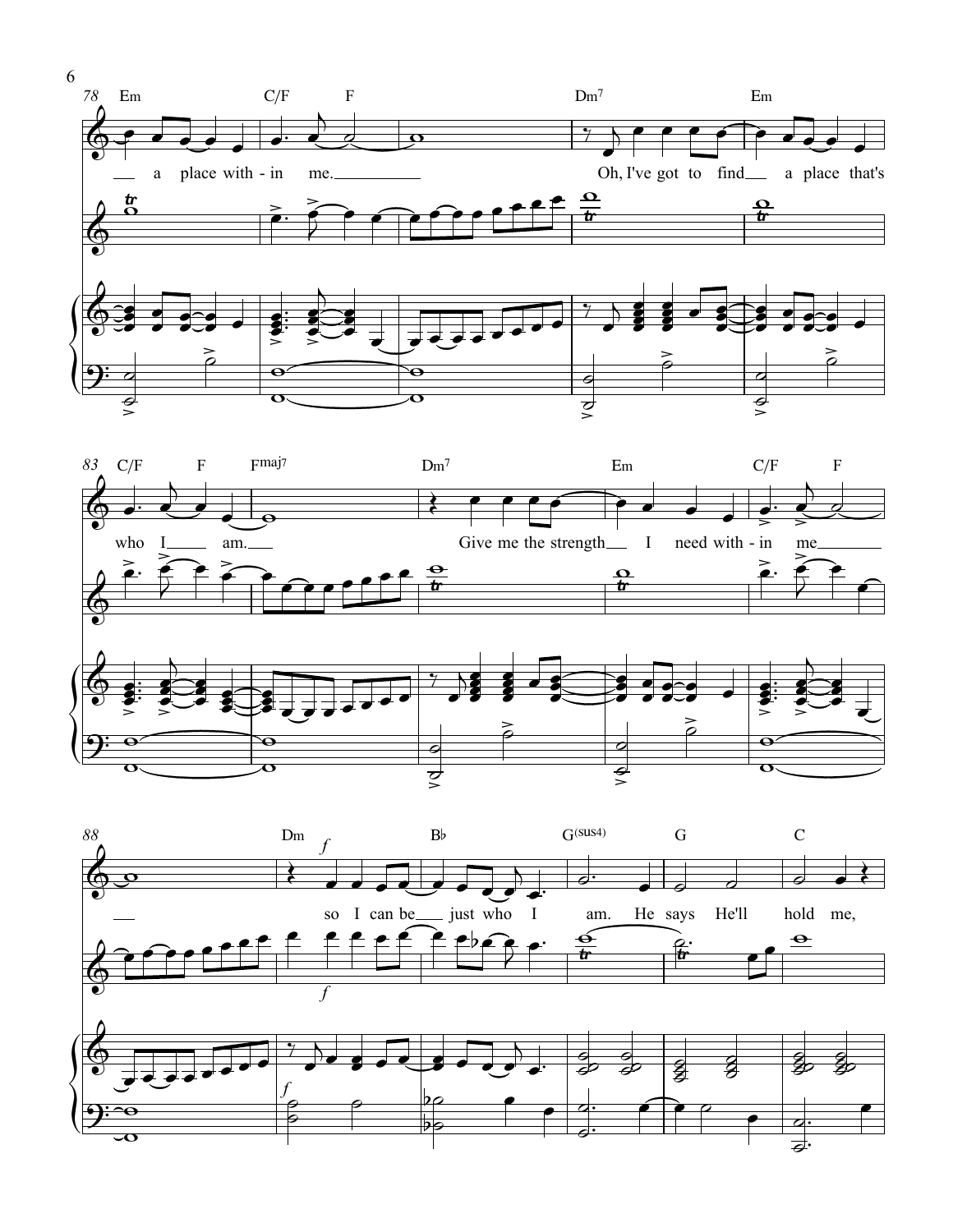



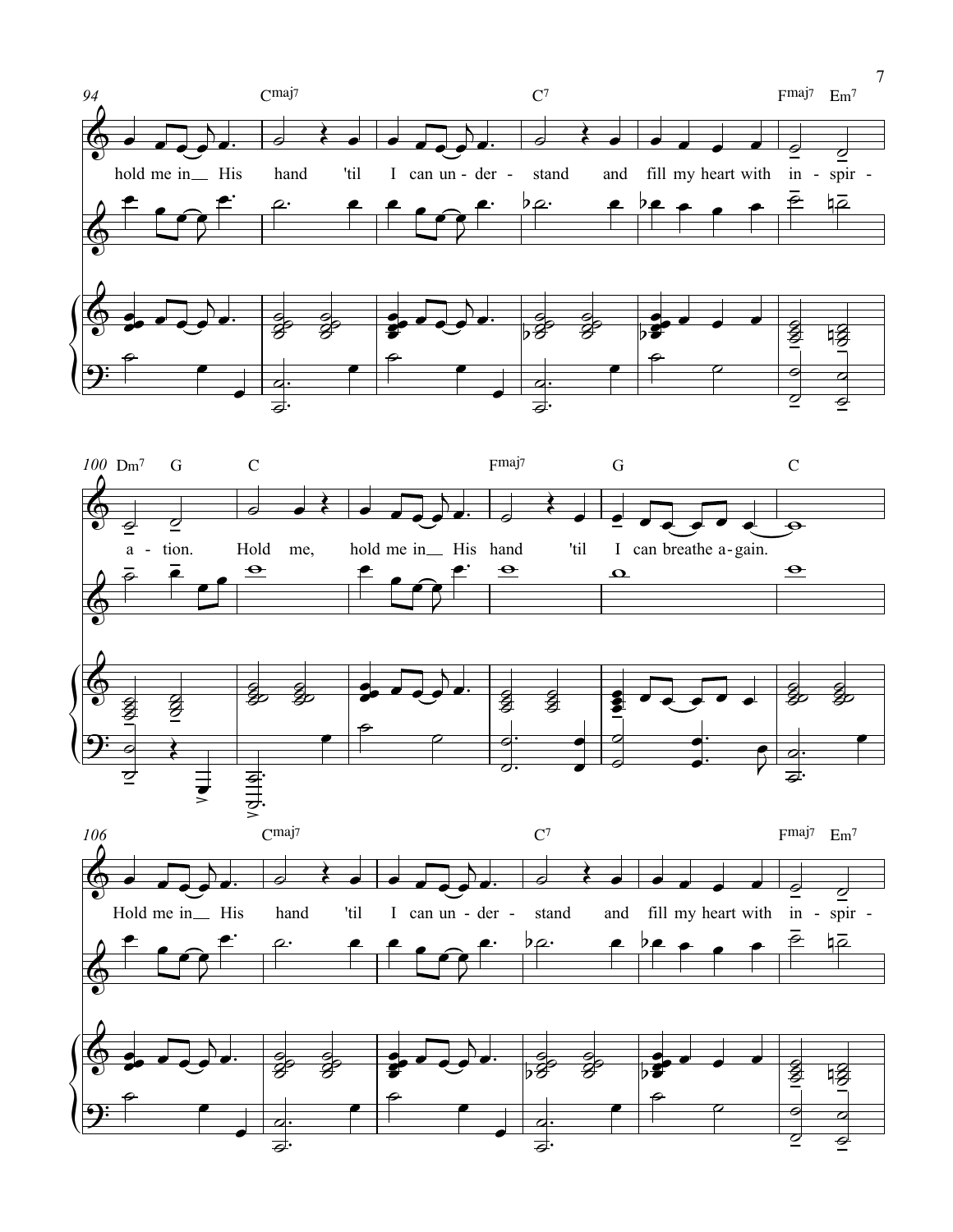



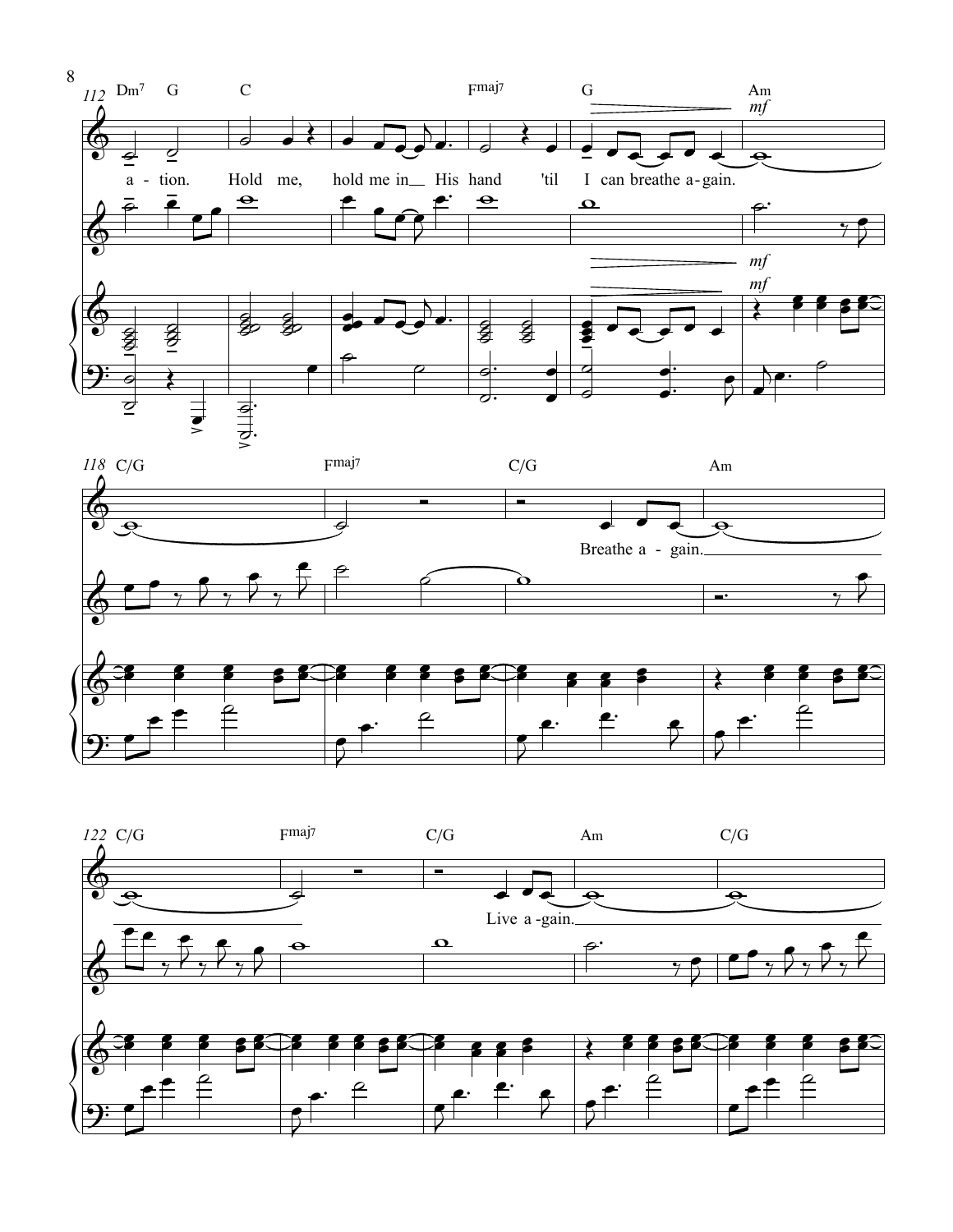